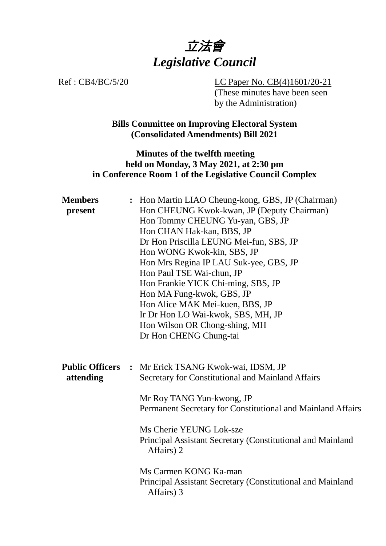

Ref : CB4/BC/5/20 LC Paper No. CB(4)1601/20-21 (These minutes have been seen by the Administration)

> **Bills Committee on Improving Electoral System (Consolidated Amendments) Bill 2021**

## **Minutes of the twelfth meeting held on Monday, 3 May 2021, at 2:30 pm in Conference Room 1 of the Legislative Council Complex**

| <b>Members</b><br>present           |                | : Hon Martin LIAO Cheung-kong, GBS, JP (Chairman)<br>Hon CHEUNG Kwok-kwan, JP (Deputy Chairman)<br>Hon Tommy CHEUNG Yu-yan, GBS, JP<br>Hon CHAN Hak-kan, BBS, JP<br>Dr Hon Priscilla LEUNG Mei-fun, SBS, JP<br>Hon WONG Kwok-kin, SBS, JP<br>Hon Mrs Regina IP LAU Suk-yee, GBS, JP<br>Hon Paul TSE Wai-chun, JP<br>Hon Frankie YICK Chi-ming, SBS, JP<br>Hon MA Fung-kwok, GBS, JP<br>Hon Alice MAK Mei-kuen, BBS, JP<br>Ir Dr Hon LO Wai-kwok, SBS, MH, JP<br>Hon Wilson OR Chong-shing, MH<br>Dr Hon CHENG Chung-tai |
|-------------------------------------|----------------|-------------------------------------------------------------------------------------------------------------------------------------------------------------------------------------------------------------------------------------------------------------------------------------------------------------------------------------------------------------------------------------------------------------------------------------------------------------------------------------------------------------------------|
| <b>Public Officers</b><br>attending | $\ddot{\cdot}$ | Mr Erick TSANG Kwok-wai, IDSM, JP<br>Secretary for Constitutional and Mainland Affairs<br>Mr Roy TANG Yun-kwong, JP<br>Permanent Secretary for Constitutional and Mainland Affairs<br>Ms Cherie YEUNG Lok-sze<br>Principal Assistant Secretary (Constitutional and Mainland<br>Affairs) 2<br>Ms Carmen KONG Ka-man<br>Principal Assistant Secretary (Constitutional and Mainland                                                                                                                                        |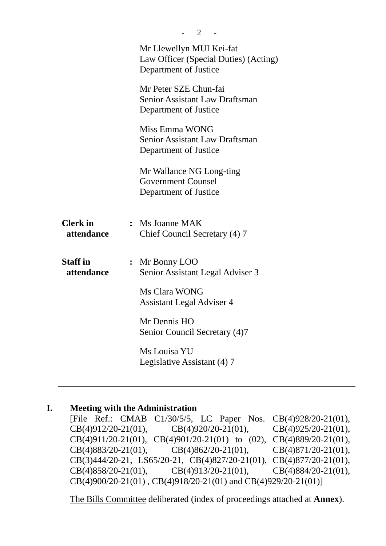|                               | 2                                                                                          |
|-------------------------------|--------------------------------------------------------------------------------------------|
|                               | Mr Llewellyn MUI Kei-fat<br>Law Officer (Special Duties) (Acting)<br>Department of Justice |
|                               | Mr Peter SZE Chun-fai<br>Senior Assistant Law Draftsman<br>Department of Justice           |
|                               | Miss Emma WONG<br><b>Senior Assistant Law Draftsman</b><br>Department of Justice           |
|                               | Mr Wallance NG Long-ting<br><b>Government Counsel</b><br>Department of Justice             |
| <b>Clerk</b> in<br>attendance | : Ms Joanne MAK<br>Chief Council Secretary (4) 7                                           |
| <b>Staff</b> in<br>attendance | : Mr Bonny LOO<br>Senior Assistant Legal Adviser 3                                         |
|                               | Ms Clara WONG<br><b>Assistant Legal Adviser 4</b>                                          |
|                               | Mr Dennis HO<br>Senior Council Secretary (4)7                                              |
|                               | Ms Louisa YU<br>Legislative Assistant (4) 7                                                |
|                               |                                                                                            |

# **I. Meeting with the Administration**

[File Ref.: CMAB C1/30/5/5, LC Paper Nos. CB(4)928/20-21(01), CB(4)912/20-21(01), CB(4)920/20-21(01), CB(4)925/20-21(01), CB(4)911/20-21(01), CB(4)901/20-21(01) to (02), CB(4)889/20-21(01), CB(4)883/20-21(01), CB(4)862/20-21(01), CB(4)871/20-21(01), CB(3)444/20-21, LS65/20-21, CB(4)827/20-21(01), CB(4)877/20-21(01), CB(4)858/20-21(01), CB(4)913/20-21(01), CB(4)884/20-21(01), CB(4)900/20-21(01) , CB(4)918/20-21(01) and CB(4)929/20-21(01)]

1. The Bills Committee deliberated (index of proceedings attached at **Annex**).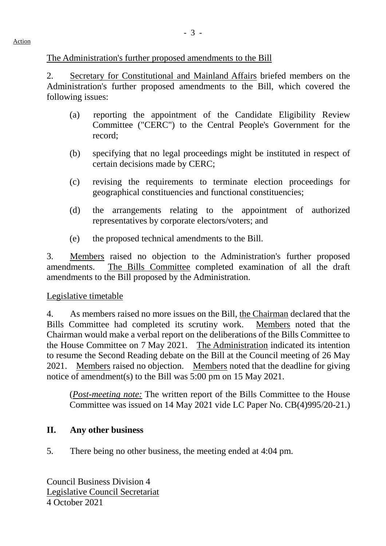### The Administration's further proposed amendments to the Bill

2. Secretary for Constitutional and Mainland Affairs briefed members on the Administration's further proposed amendments to the Bill, which covered the following issues:

- (a) reporting the appointment of the Candidate Eligibility Review Committee ("CERC") to the Central People's Government for the record;
- (b) specifying that no legal proceedings might be instituted in respect of certain decisions made by CERC;
- (c) revising the requirements to terminate election proceedings for geographical constituencies and functional constituencies;
- (d) the arrangements relating to the appointment of authorized representatives by corporate electors/voters; and
- (e) the proposed technical amendments to the Bill.

3. Members raised no objection to the Administration's further proposed amendments. The Bills Committee completed examination of all the draft amendments to the Bill proposed by the Administration.

#### Legislative timetable

4. As members raised no more issues on the Bill, the Chairman declared that the Bills Committee had completed its scrutiny work. Members noted that the Chairman would make a verbal report on the deliberations of the Bills Committee to the House Committee on 7 May 2021. The Administration indicated its intention to resume the Second Reading debate on the Bill at the Council meeting of 26 May 2021. Members raised no objection. Members noted that the deadline for giving notice of amendment(s) to the Bill was 5:00 pm on 15 May 2021.

(*Post-meeting note:* The written report of the Bills Committee to the House Committee was issued on 14 May 2021 vide LC Paper No. CB(4)995/20-21.)

### **II. Any other business**

5. There being no other business, the meeting ended at 4:04 pm.

Council Business Division 4 Legislative Council Secretariat 4 October 2021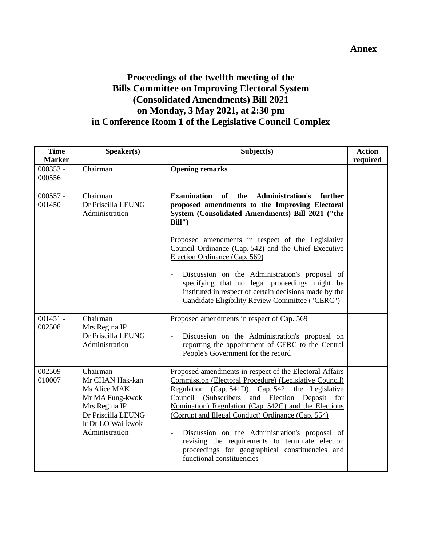# **Proceedings of the twelfth meeting of the Bills Committee on Improving Electoral System (Consolidated Amendments) Bill 2021 on Monday, 3 May 2021, at 2:30 pm in Conference Room 1 of the Legislative Council Complex**

| <b>Time</b><br><b>Marker</b> | Speaker(s)                                                                                                                                   | Subject(s)                                                                                                                                                                                                                                                                                                                                                                                                                                                                                                                                             | <b>Action</b><br>required |
|------------------------------|----------------------------------------------------------------------------------------------------------------------------------------------|--------------------------------------------------------------------------------------------------------------------------------------------------------------------------------------------------------------------------------------------------------------------------------------------------------------------------------------------------------------------------------------------------------------------------------------------------------------------------------------------------------------------------------------------------------|---------------------------|
| $000353 -$<br>000556         | Chairman                                                                                                                                     | <b>Opening remarks</b>                                                                                                                                                                                                                                                                                                                                                                                                                                                                                                                                 |                           |
| $000557 -$<br>001450         | Chairman<br>Dr Priscilla LEUNG<br>Administration                                                                                             | <b>Examination</b><br>of<br><b>Administration's</b><br>the<br>further<br>proposed amendments to the Improving Electoral<br>System (Consolidated Amendments) Bill 2021 ("the<br>Bill'                                                                                                                                                                                                                                                                                                                                                                   |                           |
|                              |                                                                                                                                              | Proposed amendments in respect of the Legislative<br>Council Ordinance (Cap. 542) and the Chief Executive<br>Election Ordinance (Cap. 569)                                                                                                                                                                                                                                                                                                                                                                                                             |                           |
|                              |                                                                                                                                              | Discussion on the Administration's proposal of<br>specifying that no legal proceedings might be<br>instituted in respect of certain decisions made by the<br>Candidate Eligibility Review Committee ("CERC")                                                                                                                                                                                                                                                                                                                                           |                           |
| $001451 -$<br>002508         | Chairman<br>Mrs Regina IP<br>Dr Priscilla LEUNG<br>Administration                                                                            | Proposed amendments in respect of Cap. 569<br>Discussion on the Administration's proposal on<br>$\frac{1}{2}$<br>reporting the appointment of CERC to the Central<br>People's Government for the record                                                                                                                                                                                                                                                                                                                                                |                           |
| $002509 -$<br>010007         | Chairman<br>Mr CHAN Hak-kan<br>Ms Alice MAK<br>Mr MA Fung-kwok<br>Mrs Regina IP<br>Dr Priscilla LEUNG<br>Ir Dr LO Wai-kwok<br>Administration | Proposed amendments in respect of the Electoral Affairs<br>Commission (Electoral Procedure) (Legislative Council)<br>Regulation (Cap. 541D), Cap. 542, the Legislative<br>Council (Subscribers and Election Deposit for<br>Nomination) Regulation (Cap. 542C) and the Elections<br>(Corrupt and Illegal Conduct) Ordinance (Cap. 554)<br>Discussion on the Administration's proposal of<br>$\overline{\phantom{a}}$<br>revising the requirements to terminate election<br>proceedings for geographical constituencies and<br>functional constituencies |                           |

**Annex**